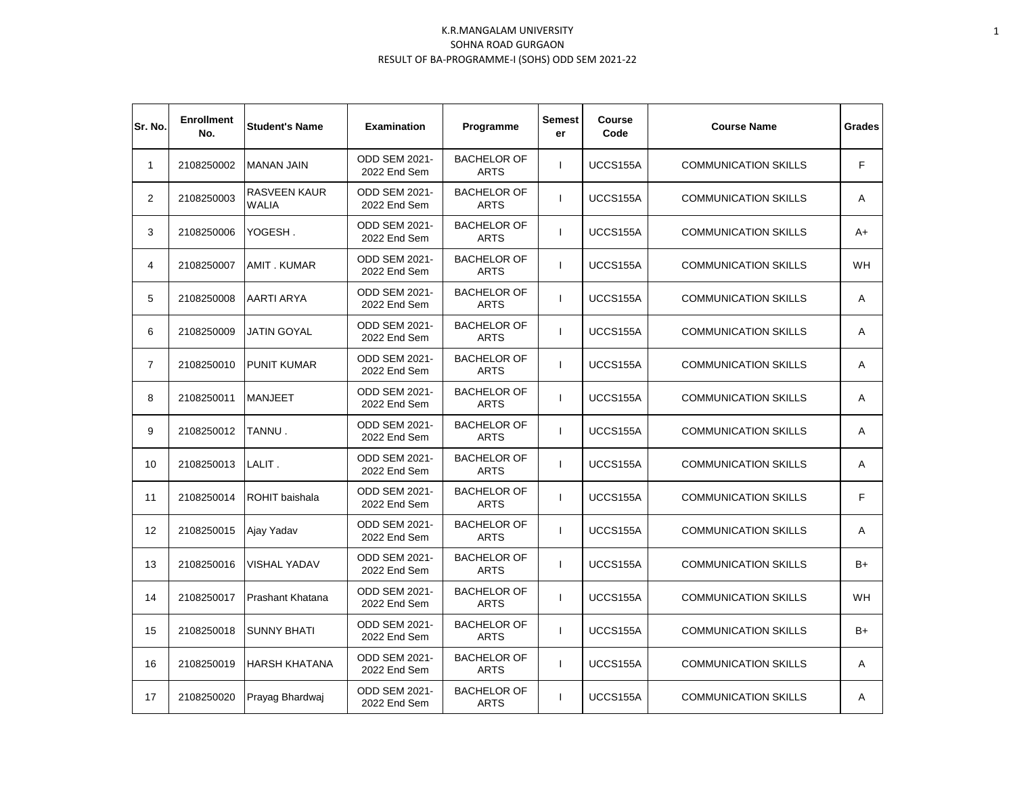| Sr. No.        | <b>Enrollment</b><br>No. | <b>Student's Name</b>        | <b>Examination</b>                   | Programme                         | <b>Semest</b><br>er | <b>Course</b><br>Code | <b>Course Name</b>          | <b>Grades</b> |
|----------------|--------------------------|------------------------------|--------------------------------------|-----------------------------------|---------------------|-----------------------|-----------------------------|---------------|
| $\mathbf{1}$   | 2108250002               | <b>MANAN JAIN</b>            | <b>ODD SEM 2021-</b><br>2022 End Sem | <b>BACHELOR OF</b><br><b>ARTS</b> | $\mathbf{I}$        | UCCS155A              | <b>COMMUNICATION SKILLS</b> | F             |
| $\overline{2}$ | 2108250003               | RASVEEN KAUR<br><b>WALIA</b> | <b>ODD SEM 2021-</b><br>2022 End Sem | <b>BACHELOR OF</b><br><b>ARTS</b> | $\mathbf{I}$        | UCCS155A              | <b>COMMUNICATION SKILLS</b> | Α             |
| 3              | 2108250006               | YOGESH.                      | <b>ODD SEM 2021-</b><br>2022 End Sem | <b>BACHELOR OF</b><br><b>ARTS</b> | $\mathbf{I}$        | UCCS155A              | <b>COMMUNICATION SKILLS</b> | A+            |
| 4              | 2108250007               | <b>AMIT. KUMAR</b>           | <b>ODD SEM 2021-</b><br>2022 End Sem | <b>BACHELOR OF</b><br><b>ARTS</b> | $\mathbf{I}$        | UCCS155A              | <b>COMMUNICATION SKILLS</b> | <b>WH</b>     |
| 5              | 2108250008               | AARTI ARYA                   | <b>ODD SEM 2021-</b><br>2022 End Sem | <b>BACHELOR OF</b><br><b>ARTS</b> | $\mathbf{I}$        | UCCS155A              | <b>COMMUNICATION SKILLS</b> | Α             |
| 6              | 2108250009               | <b>JATIN GOYAL</b>           | <b>ODD SEM 2021-</b><br>2022 End Sem | <b>BACHELOR OF</b><br><b>ARTS</b> | $\mathbf{I}$        | UCCS155A              | <b>COMMUNICATION SKILLS</b> | Α             |
| $\overline{7}$ | 2108250010               | <b>PUNIT KUMAR</b>           | <b>ODD SEM 2021-</b><br>2022 End Sem | <b>BACHELOR OF</b><br><b>ARTS</b> | $\mathbf{I}$        | UCCS155A              | <b>COMMUNICATION SKILLS</b> | Α             |
| 8              | 2108250011               | <b>MANJEET</b>               | <b>ODD SEM 2021-</b><br>2022 End Sem | <b>BACHELOR OF</b><br><b>ARTS</b> | $\mathbf{I}$        | UCCS155A              | <b>COMMUNICATION SKILLS</b> | Α             |
| 9              | 2108250012               | TANNU.                       | ODD SEM 2021-<br>2022 End Sem        | <b>BACHELOR OF</b><br><b>ARTS</b> | $\mathbf{I}$        | UCCS155A              | <b>COMMUNICATION SKILLS</b> | Α             |
| 10             | 2108250013               | LALIT.                       | ODD SEM 2021-<br>2022 End Sem        | <b>BACHELOR OF</b><br><b>ARTS</b> | $\mathbf{I}$        | UCCS155A              | <b>COMMUNICATION SKILLS</b> | Α             |
| 11             | 2108250014               | ROHIT baishala               | <b>ODD SEM 2021-</b><br>2022 End Sem | <b>BACHELOR OF</b><br><b>ARTS</b> | $\mathbf{I}$        | UCCS155A              | <b>COMMUNICATION SKILLS</b> | F             |
| 12             | 2108250015               | Ajay Yadav                   | <b>ODD SEM 2021-</b><br>2022 End Sem | <b>BACHELOR OF</b><br><b>ARTS</b> | J.                  | UCCS155A              | <b>COMMUNICATION SKILLS</b> | Α             |
| 13             | 2108250016               | VISHAL YADAV                 | <b>ODD SEM 2021-</b><br>2022 End Sem | <b>BACHELOR OF</b><br><b>ARTS</b> |                     | UCCS155A              | <b>COMMUNICATION SKILLS</b> | B+            |
| 14             | 2108250017               | Prashant Khatana             | <b>ODD SEM 2021-</b><br>2022 End Sem | <b>BACHELOR OF</b><br><b>ARTS</b> | I.                  | UCCS155A              | <b>COMMUNICATION SKILLS</b> | <b>WH</b>     |
| 15             | 2108250018               | <b>SUNNY BHATI</b>           | <b>ODD SEM 2021-</b><br>2022 End Sem | <b>BACHELOR OF</b><br><b>ARTS</b> | I.                  | UCCS155A              | <b>COMMUNICATION SKILLS</b> | $B+$          |
| 16             | 2108250019               | <b>HARSH KHATANA</b>         | <b>ODD SEM 2021-</b><br>2022 End Sem | <b>BACHELOR OF</b><br><b>ARTS</b> | $\mathbf{I}$        | UCCS155A              | <b>COMMUNICATION SKILLS</b> | Α             |
| 17             | 2108250020               | Prayag Bhardwaj              | <b>ODD SEM 2021-</b><br>2022 End Sem | <b>BACHELOR OF</b><br><b>ARTS</b> | $\mathbf{I}$        | UCCS155A              | <b>COMMUNICATION SKILLS</b> | Α             |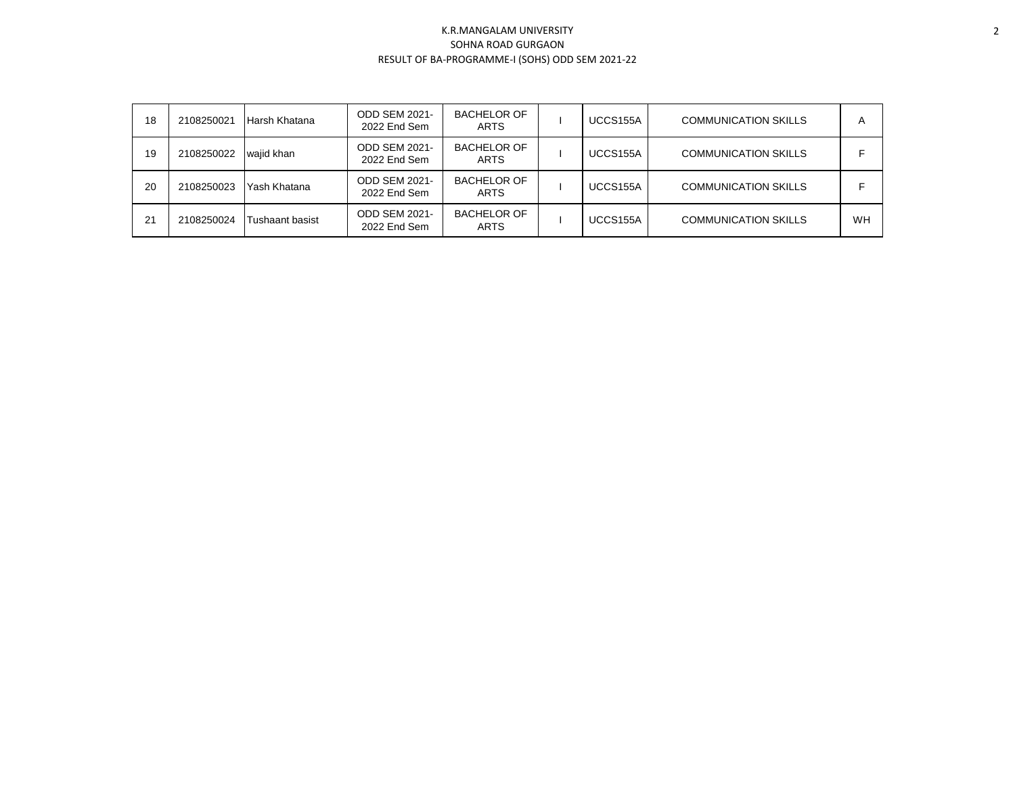| 18 | 2108250021 | Harsh Khatana   | <b>ODD SEM 2021-</b><br>2022 End Sem | <b>BACHELOR OF</b><br>ARTS        | UCCS155A | <b>COMMUNICATION SKILLS</b> | $\overline{A}$ |
|----|------------|-----------------|--------------------------------------|-----------------------------------|----------|-----------------------------|----------------|
| 19 | 2108250022 | wajid khan      | <b>ODD SEM 2021-</b><br>2022 End Sem | <b>BACHELOR OF</b><br>ARTS        | UCCS155A | <b>COMMUNICATION SKILLS</b> |                |
| 20 | 2108250023 | Yash Khatana    | <b>ODD SEM 2021-</b><br>2022 End Sem | <b>BACHELOR OF</b><br>ARTS        | UCCS155A | <b>COMMUNICATION SKILLS</b> |                |
| 21 | 2108250024 | Tushaant basist | <b>ODD SEM 2021-</b><br>2022 End Sem | <b>BACHELOR OF</b><br><b>ARTS</b> | UCCS155A | <b>COMMUNICATION SKILLS</b> | WH             |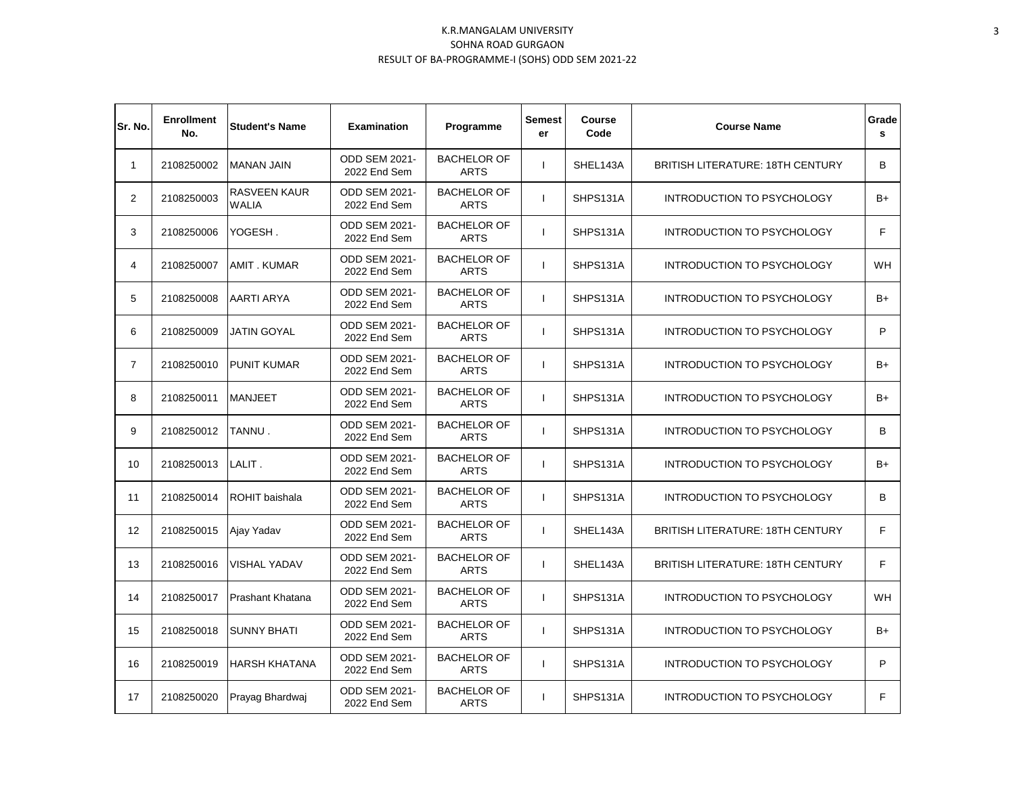| Sr. No.        | <b>Enrollment</b><br>No. | <b>Student's Name</b>               | <b>Examination</b>                   | Programme                         | <b>Semest</b><br>er | <b>Course</b><br>Code | <b>Course Name</b>                      | Grade<br>s |
|----------------|--------------------------|-------------------------------------|--------------------------------------|-----------------------------------|---------------------|-----------------------|-----------------------------------------|------------|
| $\mathbf{1}$   | 2108250002               | <b>MANAN JAIN</b>                   | <b>ODD SEM 2021-</b><br>2022 End Sem | <b>BACHELOR OF</b><br><b>ARTS</b> | $\mathbf{I}$        | SHEL143A              | <b>BRITISH LITERATURE: 18TH CENTURY</b> | В          |
| $\overline{2}$ | 2108250003               | <b>RASVEEN KAUR</b><br><b>WALIA</b> | <b>ODD SEM 2021-</b><br>2022 End Sem | <b>BACHELOR OF</b><br><b>ARTS</b> | $\mathbf{I}$        | SHPS131A              | <b>INTRODUCTION TO PSYCHOLOGY</b>       | $B+$       |
| 3              | 2108250006               | YOGESH.                             | ODD SEM 2021-<br>2022 End Sem        | <b>BACHELOR OF</b><br><b>ARTS</b> | $\mathbf{I}$        | SHPS131A              | INTRODUCTION TO PSYCHOLOGY              | F          |
| 4              | 2108250007               | <b>AMIT. KUMAR</b>                  | ODD SEM 2021-<br>2022 End Sem        | <b>BACHELOR OF</b><br><b>ARTS</b> | $\mathbf{I}$        | SHPS131A              | INTRODUCTION TO PSYCHOLOGY              | WH         |
| 5              | 2108250008               | <b>AARTI ARYA</b>                   | ODD SEM 2021-<br>2022 End Sem        | <b>BACHELOR OF</b><br><b>ARTS</b> | $\mathbf{I}$        | SHPS131A              | INTRODUCTION TO PSYCHOLOGY              | $B+$       |
| 6              | 2108250009               | <b>JATIN GOYAL</b>                  | <b>ODD SEM 2021-</b><br>2022 End Sem | <b>BACHELOR OF</b><br><b>ARTS</b> | L                   | SHPS131A              | INTRODUCTION TO PSYCHOLOGY              | P          |
| $\overline{7}$ | 2108250010               | <b>PUNIT KUMAR</b>                  | <b>ODD SEM 2021-</b><br>2022 End Sem | <b>BACHELOR OF</b><br><b>ARTS</b> | $\mathbf{I}$        | SHPS131A              | INTRODUCTION TO PSYCHOLOGY              | $B+$       |
| 8              | 2108250011               | <b>MANJEET</b>                      | <b>ODD SEM 2021-</b><br>2022 End Sem | <b>BACHELOR OF</b><br><b>ARTS</b> | $\mathbf{I}$        | SHPS131A              | <b>INTRODUCTION TO PSYCHOLOGY</b>       | $B+$       |
| 9              | 2108250012               | TANNU.                              | ODD SEM 2021-<br>2022 End Sem        | <b>BACHELOR OF</b><br><b>ARTS</b> | $\mathbf{I}$        | SHPS131A              | <b>INTRODUCTION TO PSYCHOLOGY</b>       | B          |
| 10             | 2108250013               | LALIT.                              | <b>ODD SEM 2021-</b><br>2022 End Sem | <b>BACHELOR OF</b><br><b>ARTS</b> | $\mathbf{I}$        | SHPS131A              | INTRODUCTION TO PSYCHOLOGY              | $B+$       |
| 11             | 2108250014               | <b>ROHIT</b> baishala               | <b>ODD SEM 2021-</b><br>2022 End Sem | <b>BACHELOR OF</b><br><b>ARTS</b> |                     | SHPS131A              | INTRODUCTION TO PSYCHOLOGY              | В          |
| 12             | 2108250015               | Ajay Yadav                          | <b>ODD SEM 2021-</b><br>2022 End Sem | <b>BACHELOR OF</b><br><b>ARTS</b> |                     | SHEL143A              | BRITISH LITERATURE: 18TH CENTURY        | F          |
| 13             | 2108250016               | <b>VISHAL YADAV</b>                 | <b>ODD SEM 2021-</b><br>2022 End Sem | <b>BACHELOR OF</b><br><b>ARTS</b> |                     | SHEL143A              | BRITISH LITERATURE: 18TH CENTURY        | F          |
| 14             | 2108250017               | <b>Prashant Khatana</b>             | <b>ODD SEM 2021-</b><br>2022 End Sem | <b>BACHELOR OF</b><br><b>ARTS</b> |                     | SHPS131A              | INTRODUCTION TO PSYCHOLOGY              | <b>WH</b>  |
| 15             | 2108250018               | <b>SUNNY BHATI</b>                  | <b>ODD SEM 2021-</b><br>2022 End Sem | <b>BACHELOR OF</b><br><b>ARTS</b> |                     | SHPS131A              | INTRODUCTION TO PSYCHOLOGY              | $B+$       |
| 16             | 2108250019               | HARSH KHATANA                       | ODD SEM 2021-<br>2022 End Sem        | <b>BACHELOR OF</b><br><b>ARTS</b> | $\mathbf{I}$        | SHPS131A              | INTRODUCTION TO PSYCHOLOGY              | P          |
| 17             | 2108250020               | Prayag Bhardwaj                     | <b>ODD SEM 2021-</b><br>2022 End Sem | <b>BACHELOR OF</b><br><b>ARTS</b> | $\mathbf{I}$        | SHPS131A              | INTRODUCTION TO PSYCHOLOGY              | F          |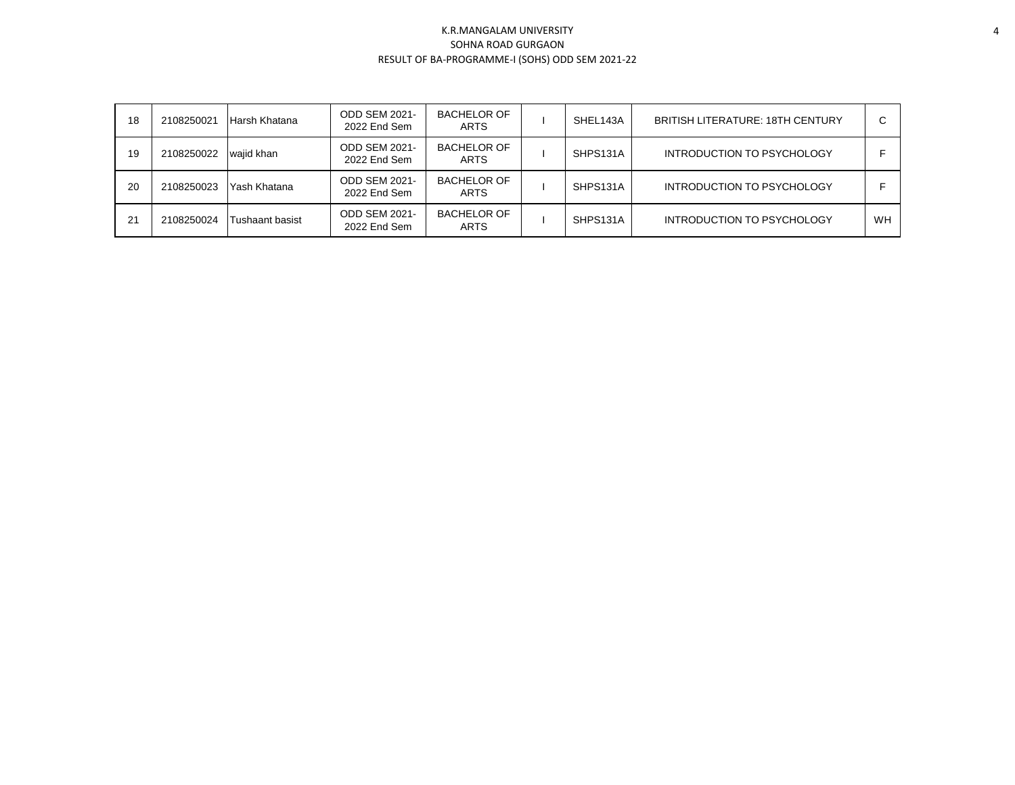| 18 | 2108250021 | Harsh Khatana   | <b>ODD SEM 2021-</b><br>2022 End Sem | <b>BACHELOR OF</b><br><b>ARTS</b> | SHEL143A | <b>BRITISH LITERATURE: 18TH CENTURY</b> | ⌒  |
|----|------------|-----------------|--------------------------------------|-----------------------------------|----------|-----------------------------------------|----|
| 19 | 2108250022 | wajid khan      | <b>ODD SEM 2021-</b><br>2022 End Sem | <b>BACHELOR OF</b><br><b>ARTS</b> | SHPS131A | <b>INTRODUCTION TO PSYCHOLOGY</b>       |    |
| 20 | 2108250023 | Yash Khatana    | <b>ODD SEM 2021-</b><br>2022 End Sem | <b>BACHELOR OF</b><br><b>ARTS</b> | SHPS131A | <b>INTRODUCTION TO PSYCHOLOGY</b>       |    |
| 21 | 2108250024 | Tushaant basist | <b>ODD SEM 2021-</b><br>2022 End Sem | <b>BACHELOR OF</b><br><b>ARTS</b> | SHPS131A | INTRODUCTION TO PSYCHOLOGY              | WH |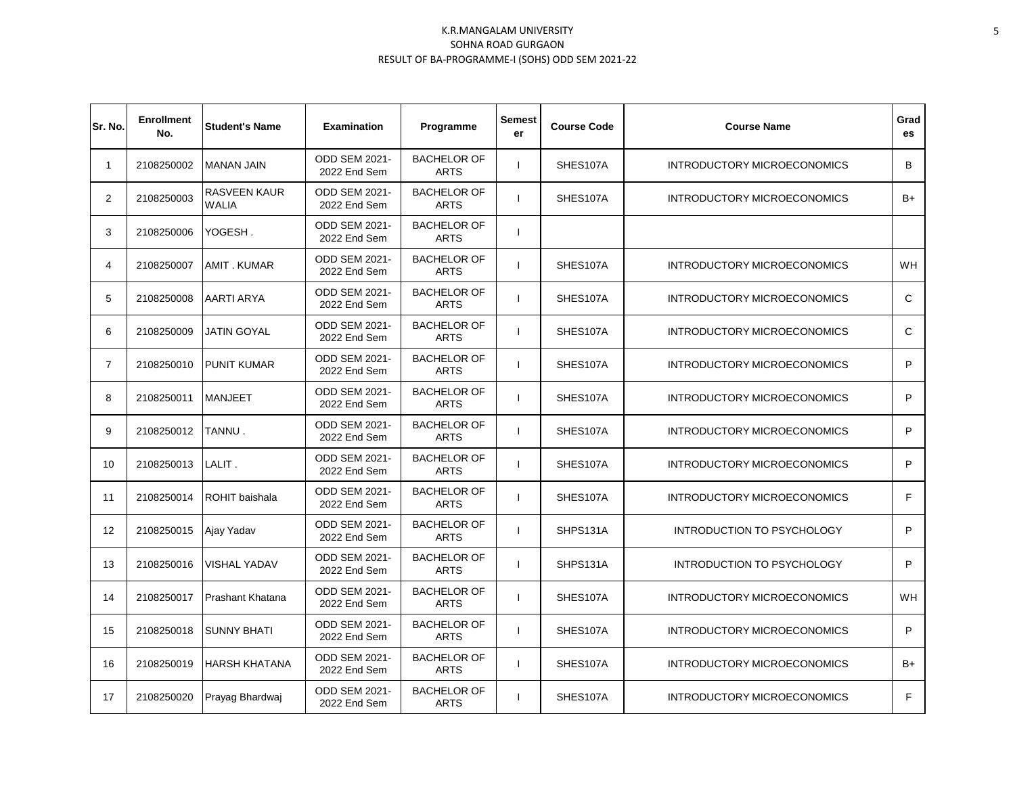| Sr. No.        | <b>Enrollment</b><br>No. | <b>Student's Name</b>               | <b>Examination</b>                   | Programme                         | Semest<br>er | <b>Course Code</b> | <b>Course Name</b>                | Grad<br>es |
|----------------|--------------------------|-------------------------------------|--------------------------------------|-----------------------------------|--------------|--------------------|-----------------------------------|------------|
| $\mathbf{1}$   | 2108250002               | <b>MANAN JAIN</b>                   | <b>ODD SEM 2021-</b><br>2022 End Sem | <b>BACHELOR OF</b><br><b>ARTS</b> |              | SHES107A           | INTRODUCTORY MICROECONOMICS       | B          |
| $\overline{2}$ | 2108250003               | <b>RASVEEN KAUR</b><br><b>WALIA</b> | <b>ODD SEM 2021-</b><br>2022 End Sem | <b>BACHELOR OF</b><br><b>ARTS</b> |              | SHES107A           | INTRODUCTORY MICROECONOMICS       | B+         |
| 3              | 2108250006               | YOGESH.                             | ODD SEM 2021-<br>2022 End Sem        | <b>BACHELOR OF</b><br><b>ARTS</b> |              |                    |                                   |            |
| 4              | 2108250007               | AMIT. KUMAR                         | <b>ODD SEM 2021-</b><br>2022 End Sem | <b>BACHELOR OF</b><br><b>ARTS</b> |              | SHES107A           | INTRODUCTORY MICROECONOMICS       | <b>WH</b>  |
| 5              | 2108250008               | AARTI ARYA                          | <b>ODD SEM 2021-</b><br>2022 End Sem | <b>BACHELOR OF</b><br><b>ARTS</b> |              | SHES107A           | INTRODUCTORY MICROECONOMICS       | C          |
| 6              | 2108250009               | JATIN GOYAL                         | <b>ODD SEM 2021-</b><br>2022 End Sem | <b>BACHELOR OF</b><br><b>ARTS</b> |              | SHES107A           | INTRODUCTORY MICROECONOMICS       | C          |
| $\overline{7}$ | 2108250010               | <b>PUNIT KUMAR</b>                  | <b>ODD SEM 2021-</b><br>2022 End Sem | <b>BACHELOR OF</b><br><b>ARTS</b> |              | SHES107A           | INTRODUCTORY MICROECONOMICS       | P          |
| 8              | 2108250011               | <b>MANJEET</b>                      | <b>ODD SEM 2021-</b><br>2022 End Sem | <b>BACHELOR OF</b><br><b>ARTS</b> |              | SHES107A           | INTRODUCTORY MICROECONOMICS       | P          |
| 9              | 2108250012               | TANNU.                              | <b>ODD SEM 2021-</b><br>2022 End Sem | <b>BACHELOR OF</b><br><b>ARTS</b> |              | SHES107A           | INTRODUCTORY MICROECONOMICS       | P          |
| 10             | 2108250013               | LALIT.                              | <b>ODD SEM 2021-</b><br>2022 End Sem | <b>BACHELOR OF</b><br><b>ARTS</b> |              | SHES107A           | INTRODUCTORY MICROECONOMICS       | P          |
| 11             | 2108250014               | ROHIT baishala                      | <b>ODD SEM 2021-</b><br>2022 End Sem | <b>BACHELOR OF</b><br><b>ARTS</b> |              | SHES107A           | INTRODUCTORY MICROECONOMICS       | F          |
| 12             | 2108250015               | Ajay Yadav                          | <b>ODD SEM 2021-</b><br>2022 End Sem | <b>BACHELOR OF</b><br><b>ARTS</b> |              | SHPS131A           | <b>INTRODUCTION TO PSYCHOLOGY</b> | P          |
| 13             | 2108250016               | <b>VISHAL YADAV</b>                 | <b>ODD SEM 2021-</b><br>2022 End Sem | <b>BACHELOR OF</b><br><b>ARTS</b> |              | SHPS131A           | <b>INTRODUCTION TO PSYCHOLOGY</b> | P          |
| 14             | 2108250017               | Prashant Khatana                    | <b>ODD SEM 2021-</b><br>2022 End Sem | <b>BACHELOR OF</b><br><b>ARTS</b> |              | SHES107A           | INTRODUCTORY MICROECONOMICS       | <b>WH</b>  |
| 15             | 2108250018               | <b>SUNNY BHATI</b>                  | ODD SEM 2021-<br>2022 End Sem        | <b>BACHELOR OF</b><br><b>ARTS</b> |              | SHES107A           | INTRODUCTORY MICROECONOMICS       | P          |
| 16             | 2108250019               | <b>HARSH KHATANA</b>                | <b>ODD SEM 2021-</b><br>2022 End Sem | <b>BACHELOR OF</b><br><b>ARTS</b> |              | SHES107A           | INTRODUCTORY MICROECONOMICS       | $B+$       |
| 17             | 2108250020               | Prayag Bhardwaj                     | <b>ODD SEM 2021-</b><br>2022 End Sem | <b>BACHELOR OF</b><br><b>ARTS</b> |              | SHES107A           | INTRODUCTORY MICROECONOMICS       | F          |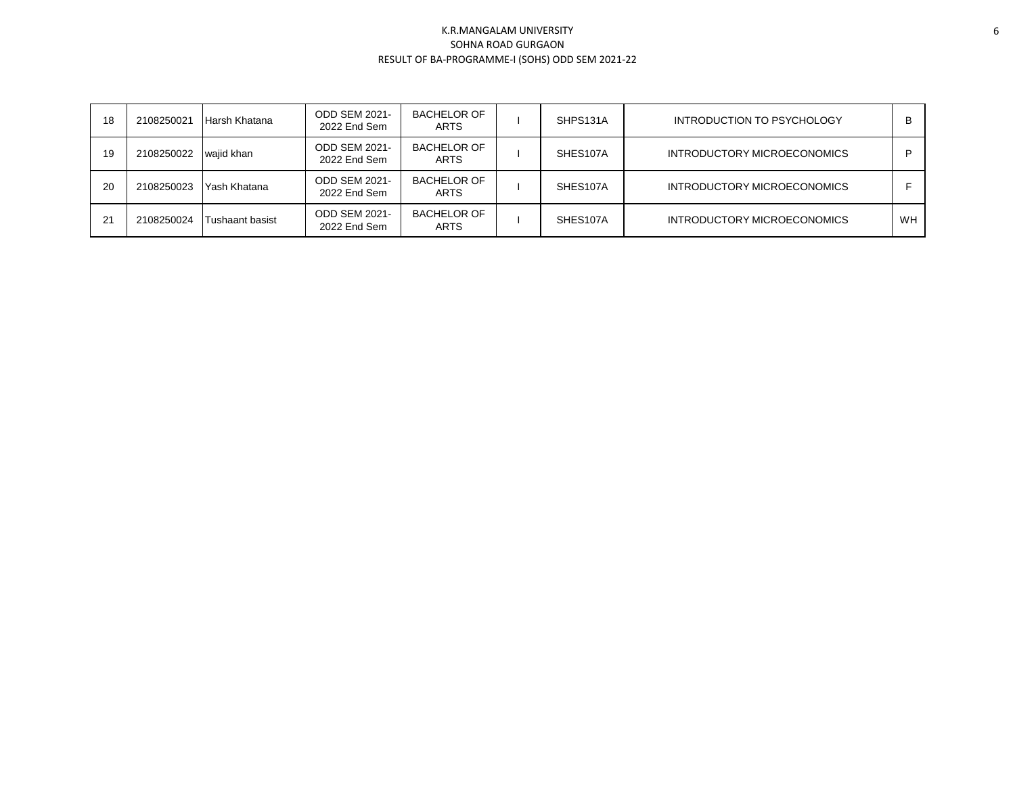| 18 | 2108250021 | Harsh Khatana   | <b>ODD SEM 2021-</b><br>2022 End Sem | <b>BACHELOR OF</b><br><b>ARTS</b> | SHPS131A | INTRODUCTION TO PSYCHOLOGY  | в         |
|----|------------|-----------------|--------------------------------------|-----------------------------------|----------|-----------------------------|-----------|
| 19 | 2108250022 | wajid khan      | <b>ODD SEM 2021-</b><br>2022 End Sem | <b>BACHELOR OF</b><br><b>ARTS</b> | SHES107A | INTRODUCTORY MICROECONOMICS |           |
| 20 | 2108250023 | Yash Khatana    | <b>ODD SEM 2021-</b><br>2022 End Sem | <b>BACHELOR OF</b><br><b>ARTS</b> | SHES107A | INTRODUCTORY MICROECONOMICS |           |
| 21 | 2108250024 | Tushaant basist | <b>ODD SEM 2021-</b><br>2022 End Sem | <b>BACHELOR OF</b><br><b>ARTS</b> | SHES107A | INTRODUCTORY MICROECONOMICS | <b>WH</b> |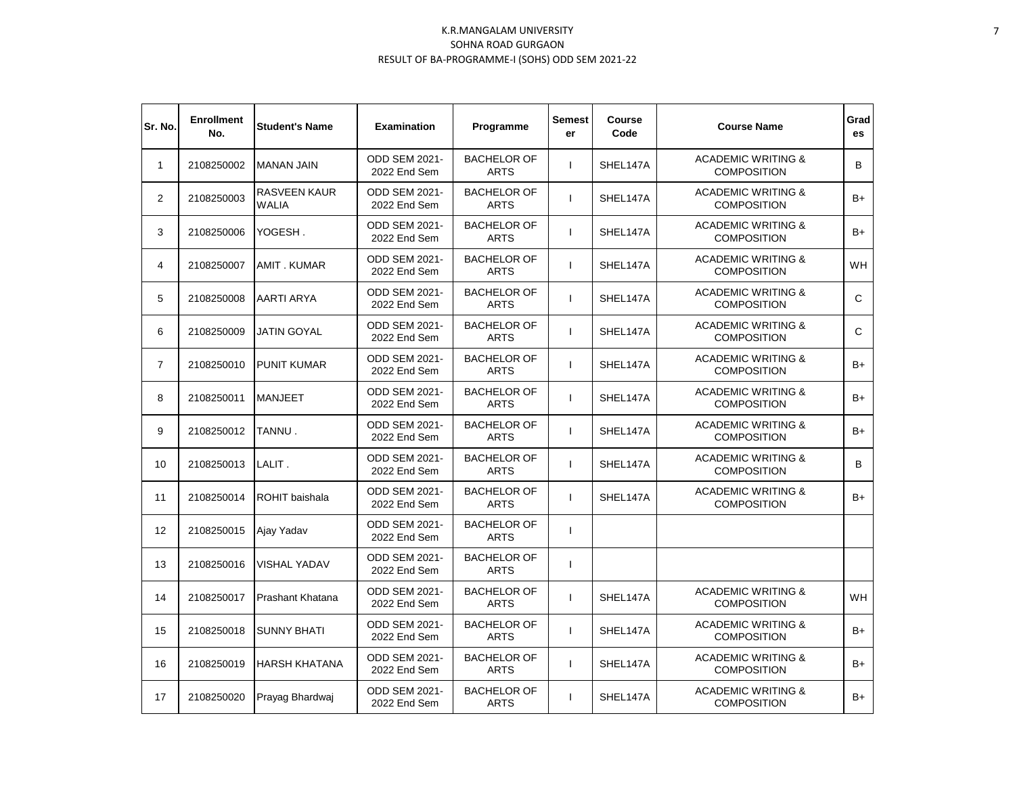| Sr. No.        | <b>Enrollment</b><br>No. | <b>Student's Name</b>               | <b>Examination</b>                   | Programme                         | <b>Semest</b><br>er      | Course<br>Code | <b>Course Name</b>                                  | Grad<br>es |
|----------------|--------------------------|-------------------------------------|--------------------------------------|-----------------------------------|--------------------------|----------------|-----------------------------------------------------|------------|
| $\mathbf{1}$   | 2108250002               | <b>MANAN JAIN</b>                   | <b>ODD SEM 2021-</b><br>2022 End Sem | <b>BACHELOR OF</b><br><b>ARTS</b> | J.                       | SHEL147A       | <b>ACADEMIC WRITING &amp;</b><br><b>COMPOSITION</b> | B          |
| $\overline{2}$ | 2108250003               | <b>RASVEEN KAUR</b><br><b>WALIA</b> | <b>ODD SEM 2021-</b><br>2022 End Sem | <b>BACHELOR OF</b><br><b>ARTS</b> | ı                        | SHEL147A       | <b>ACADEMIC WRITING &amp;</b><br><b>COMPOSITION</b> | $B+$       |
| 3              | 2108250006               | YOGESH.                             | <b>ODD SEM 2021-</b><br>2022 End Sem | <b>BACHELOR OF</b><br><b>ARTS</b> | $\mathbf{I}$             | SHEL147A       | <b>ACADEMIC WRITING &amp;</b><br><b>COMPOSITION</b> | $B+$       |
| 4              | 2108250007               | <b>AMIT. KUMAR</b>                  | <b>ODD SEM 2021-</b><br>2022 End Sem | <b>BACHELOR OF</b><br><b>ARTS</b> | $\mathbf{I}$             | SHEL147A       | <b>ACADEMIC WRITING &amp;</b><br><b>COMPOSITION</b> | <b>WH</b>  |
| 5              | 2108250008               | AARTI ARYA                          | ODD SEM 2021-<br>2022 End Sem        | <b>BACHELOR OF</b><br><b>ARTS</b> | $\mathbf{I}$             | SHEL147A       | <b>ACADEMIC WRITING &amp;</b><br><b>COMPOSITION</b> | C          |
| 6              | 2108250009               | <b>JATIN GOYAL</b>                  | <b>ODD SEM 2021-</b><br>2022 End Sem | <b>BACHELOR OF</b><br><b>ARTS</b> | ı                        | SHEL147A       | <b>ACADEMIC WRITING &amp;</b><br><b>COMPOSITION</b> | C          |
| $\overline{7}$ | 2108250010               | <b>PUNIT KUMAR</b>                  | <b>ODD SEM 2021-</b><br>2022 End Sem | <b>BACHELOR OF</b><br><b>ARTS</b> | $\mathbf{I}$             | SHEL147A       | <b>ACADEMIC WRITING &amp;</b><br><b>COMPOSITION</b> | $B+$       |
| 8              | 2108250011               | <b>MANJEET</b>                      | <b>ODD SEM 2021-</b><br>2022 End Sem | <b>BACHELOR OF</b><br><b>ARTS</b> | $\mathbf{I}$             | SHEL147A       | <b>ACADEMIC WRITING &amp;</b><br><b>COMPOSITION</b> | B+         |
| 9              | 2108250012               | TANNU.                              | <b>ODD SEM 2021-</b><br>2022 End Sem | <b>BACHELOR OF</b><br><b>ARTS</b> | $\mathbf{I}$             | SHEL147A       | <b>ACADEMIC WRITING &amp;</b><br><b>COMPOSITION</b> | B+         |
| 10             | 2108250013               | LALIT.                              | <b>ODD SEM 2021-</b><br>2022 End Sem | <b>BACHELOR OF</b><br><b>ARTS</b> | $\mathbf{I}$             | SHEL147A       | <b>ACADEMIC WRITING &amp;</b><br><b>COMPOSITION</b> | B          |
| 11             | 2108250014               | ROHIT baishala                      | <b>ODD SEM 2021-</b><br>2022 End Sem | <b>BACHELOR OF</b><br><b>ARTS</b> | $\mathbf{I}$             | SHEL147A       | <b>ACADEMIC WRITING &amp;</b><br><b>COMPOSITION</b> | B+         |
| 12             | 2108250015               | Ajay Yadav                          | <b>ODD SEM 2021-</b><br>2022 End Sem | <b>BACHELOR OF</b><br><b>ARTS</b> | $\mathbf{I}$             |                |                                                     |            |
| 13             | 2108250016               | <b>VISHAL YADAV</b>                 | ODD SEM 2021-<br>2022 End Sem        | <b>BACHELOR OF</b><br><b>ARTS</b> | $\overline{\phantom{a}}$ |                |                                                     |            |
| 14             | 2108250017               | Prashant Khatana                    | ODD SEM 2021-<br>2022 End Sem        | <b>BACHELOR OF</b><br><b>ARTS</b> |                          | SHEL147A       | <b>ACADEMIC WRITING &amp;</b><br><b>COMPOSITION</b> | <b>WH</b>  |
| 15             | 2108250018               | <b>SUNNY BHATI</b>                  | ODD SEM 2021-<br>2022 End Sem        | <b>BACHELOR OF</b><br><b>ARTS</b> |                          | SHEL147A       | <b>ACADEMIC WRITING &amp;</b><br><b>COMPOSITION</b> | $B+$       |
| 16             | 2108250019               | <b>HARSH KHATANA</b>                | <b>ODD SEM 2021-</b><br>2022 End Sem | <b>BACHELOR OF</b><br><b>ARTS</b> |                          | SHEL147A       | <b>ACADEMIC WRITING &amp;</b><br><b>COMPOSITION</b> | B+         |
| 17             | 2108250020               | Prayag Bhardwaj                     | <b>ODD SEM 2021-</b><br>2022 End Sem | <b>BACHELOR OF</b><br><b>ARTS</b> | $\mathbf{I}$             | SHEL147A       | <b>ACADEMIC WRITING &amp;</b><br><b>COMPOSITION</b> | $B+$       |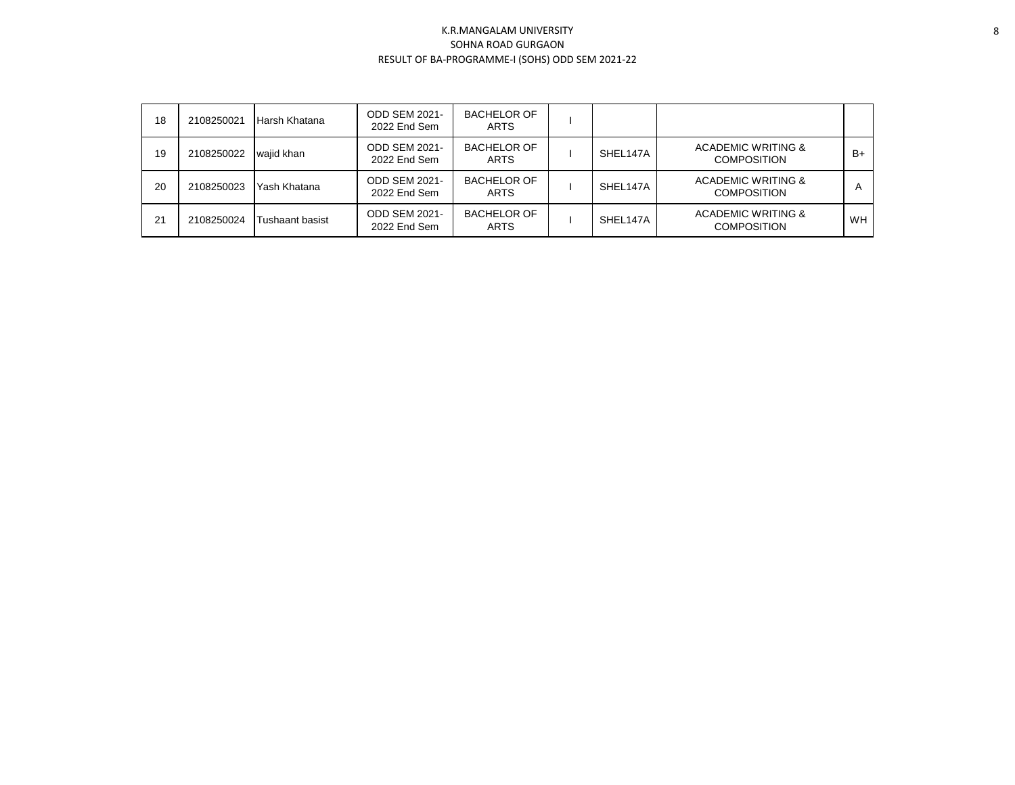| 18 | 2108250021 | Harsh Khatana   | <b>ODD SEM 2021-</b><br>2022 End Sem | <b>BACHELOR OF</b><br><b>ARTS</b> |          |                                                     |           |
|----|------------|-----------------|--------------------------------------|-----------------------------------|----------|-----------------------------------------------------|-----------|
| 19 | 2108250022 | wajid khan      | <b>ODD SEM 2021-</b><br>2022 End Sem | <b>BACHELOR OF</b><br><b>ARTS</b> | SHEL147A | <b>ACADEMIC WRITING &amp;</b><br><b>COMPOSITION</b> | $B+$      |
| 20 | 2108250023 | Yash Khatana    | <b>ODD SEM 2021-</b><br>2022 End Sem | <b>BACHELOR OF</b><br><b>ARTS</b> | SHEL147A | <b>ACADEMIC WRITING &amp;</b><br><b>COMPOSITION</b> | А         |
| 21 | 2108250024 | Tushaant basist | <b>ODD SEM 2021-</b><br>2022 End Sem | <b>BACHELOR OF</b><br><b>ARTS</b> | SHEL147A | <b>ACADEMIC WRITING &amp;</b><br><b>COMPOSITION</b> | <b>WH</b> |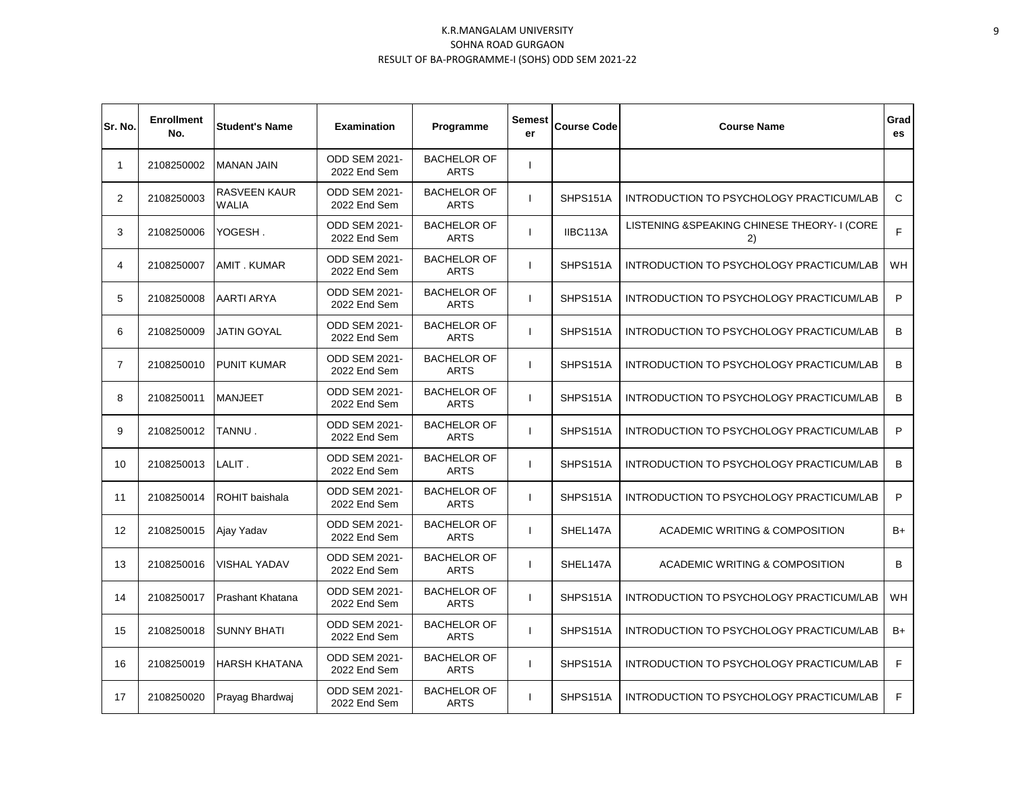| Sr. No.        | <b>Enrollment</b><br>No. | <b>Student's Name</b>        | <b>Examination</b>                   | Programme                         | Semest<br>er | <b>Course Code</b> | <b>Course Name</b>                                 | Grad<br>es   |
|----------------|--------------------------|------------------------------|--------------------------------------|-----------------------------------|--------------|--------------------|----------------------------------------------------|--------------|
| $\mathbf{1}$   | 2108250002               | <b>MANAN JAIN</b>            | <b>ODD SEM 2021-</b><br>2022 End Sem | <b>BACHELOR OF</b><br><b>ARTS</b> | ı            |                    |                                                    |              |
| $\overline{2}$ | 2108250003               | RASVEEN KAUR<br><b>WALIA</b> | <b>ODD SEM 2021-</b><br>2022 End Sem | <b>BACHELOR OF</b><br><b>ARTS</b> | ı            | SHPS151A           | INTRODUCTION TO PSYCHOLOGY PRACTICUM/LAB           | $\mathsf{C}$ |
| 3              | 2108250006               | YOGESH.                      | ODD SEM 2021-<br>2022 End Sem        | <b>BACHELOR OF</b><br><b>ARTS</b> | $\mathbf{I}$ | IIBC113A           | LISTENING & SPEAKING CHINESE THEORY- I (CORE<br>2) | F            |
| 4              | 2108250007               | <b>AMIT. KUMAR</b>           | ODD SEM 2021-<br>2022 End Sem        | <b>BACHELOR OF</b><br><b>ARTS</b> | $\mathbf{I}$ | SHPS151A           | INTRODUCTION TO PSYCHOLOGY PRACTICUM/LAB           | <b>WH</b>    |
| 5              | 2108250008               | <b>AARTI ARYA</b>            | ODD SEM 2021-<br>2022 End Sem        | <b>BACHELOR OF</b><br><b>ARTS</b> | $\mathbf{I}$ | SHPS151A           | INTRODUCTION TO PSYCHOLOGY PRACTICUM/LAB           | P            |
| 6              | 2108250009               | JATIN GOYAL                  | <b>ODD SEM 2021-</b><br>2022 End Sem | <b>BACHELOR OF</b><br><b>ARTS</b> | $\mathsf{I}$ | SHPS151A           | INTRODUCTION TO PSYCHOLOGY PRACTICUM/LAB           | B            |
| $\overline{7}$ | 2108250010               | <b>PUNIT KUMAR</b>           | <b>ODD SEM 2021-</b><br>2022 End Sem | <b>BACHELOR OF</b><br><b>ARTS</b> | ı            | SHPS151A           | INTRODUCTION TO PSYCHOLOGY PRACTICUM/LAB           | B            |
| 8              | 2108250011               | <b>MANJEET</b>               | <b>ODD SEM 2021-</b><br>2022 End Sem | <b>BACHELOR OF</b><br><b>ARTS</b> | $\mathbf{I}$ | SHPS151A           | INTRODUCTION TO PSYCHOLOGY PRACTICUM/LAB           | B            |
| 9              | 2108250012               | TANNU.                       | <b>ODD SEM 2021-</b><br>2022 End Sem | <b>BACHELOR OF</b><br><b>ARTS</b> | $\mathbf{I}$ | SHPS151A           | INTRODUCTION TO PSYCHOLOGY PRACTICUM/LAB           | P            |
| 10             | 2108250013               | LALIT.                       | ODD SEM 2021-<br>2022 End Sem        | <b>BACHELOR OF</b><br><b>ARTS</b> | ı            | SHPS151A           | INTRODUCTION TO PSYCHOLOGY PRACTICUM/LAB           | B            |
| 11             | 2108250014               | ROHIT baishala               | <b>ODD SEM 2021-</b><br>2022 End Sem | <b>BACHELOR OF</b><br><b>ARTS</b> | ı            | SHPS151A           | INTRODUCTION TO PSYCHOLOGY PRACTICUM/LAB           | P            |
| 12             | 2108250015               | Ajay Yadav                   | <b>ODD SEM 2021-</b><br>2022 End Sem | <b>BACHELOR OF</b><br><b>ARTS</b> | ı            | SHEL147A           | ACADEMIC WRITING & COMPOSITION                     | $B+$         |
| 13             | 2108250016               | <b>VISHAL YADAV</b>          | <b>ODD SEM 2021-</b><br>2022 End Sem | <b>BACHELOR OF</b><br><b>ARTS</b> | I.           | SHEL147A           | ACADEMIC WRITING & COMPOSITION                     | B            |
| 14             | 2108250017               | Prashant Khatana             | <b>ODD SEM 2021-</b><br>2022 End Sem | <b>BACHELOR OF</b><br><b>ARTS</b> |              | SHPS151A           | INTRODUCTION TO PSYCHOLOGY PRACTICUM/LAB           | <b>WH</b>    |
| 15             | 2108250018               | <b>SUNNY BHATI</b>           | ODD SEM 2021-<br>2022 End Sem        | <b>BACHELOR OF</b><br><b>ARTS</b> |              | SHPS151A           | INTRODUCTION TO PSYCHOLOGY PRACTICUM/LAB           | $B+$         |
| 16             | 2108250019               | <b>HARSH KHATANA</b>         | <b>ODD SEM 2021-</b><br>2022 End Sem | <b>BACHELOR OF</b><br><b>ARTS</b> |              | SHPS151A           | INTRODUCTION TO PSYCHOLOGY PRACTICUM/LAB           | F            |
| 17             | 2108250020               | Prayag Bhardwaj              | <b>ODD SEM 2021-</b><br>2022 End Sem | <b>BACHELOR OF</b><br><b>ARTS</b> | $\mathbf{I}$ | SHPS151A           | INTRODUCTION TO PSYCHOLOGY PRACTICUM/LAB           | F            |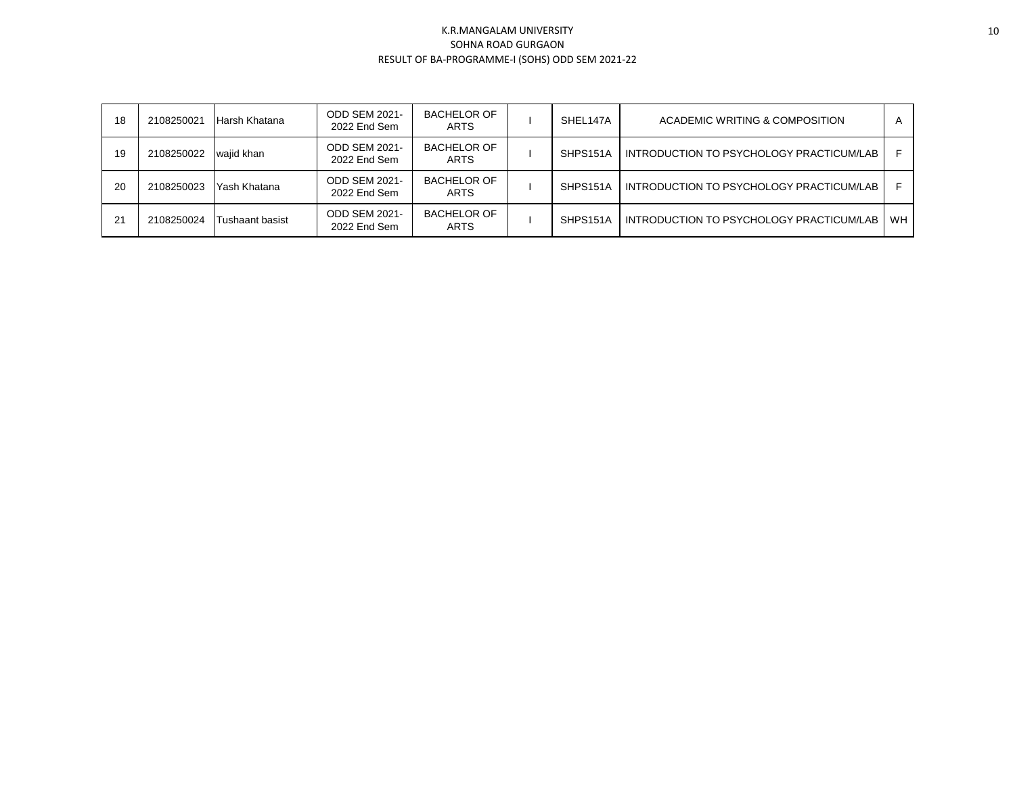| 18 | 2108250021 | Harsh Khatana   | <b>ODD SEM 2021-</b><br>2022 End Sem | BACHELOR OF<br><b>ARTS</b>        | SHEL147A | ACADEMIC WRITING & COMPOSITION           | A         |
|----|------------|-----------------|--------------------------------------|-----------------------------------|----------|------------------------------------------|-----------|
| 19 | 2108250022 | wajid khan      | <b>ODD SEM 2021-</b><br>2022 End Sem | <b>BACHELOR OF</b><br><b>ARTS</b> | SHPS151A | INTRODUCTION TO PSYCHOLOGY PRACTICUM/LAB |           |
| 20 | 2108250023 | Yash Khatana    | <b>ODD SEM 2021-</b><br>2022 End Sem | BACHELOR OF<br><b>ARTS</b>        | SHPS151A | INTRODUCTION TO PSYCHOLOGY PRACTICUM/LAB |           |
| 21 | 2108250024 | Tushaant basist | <b>ODD SEM 2021-</b><br>2022 End Sem | <b>BACHELOR OF</b><br><b>ARTS</b> | SHPS151A | INTRODUCTION TO PSYCHOLOGY PRACTICUM/LAB | <b>WH</b> |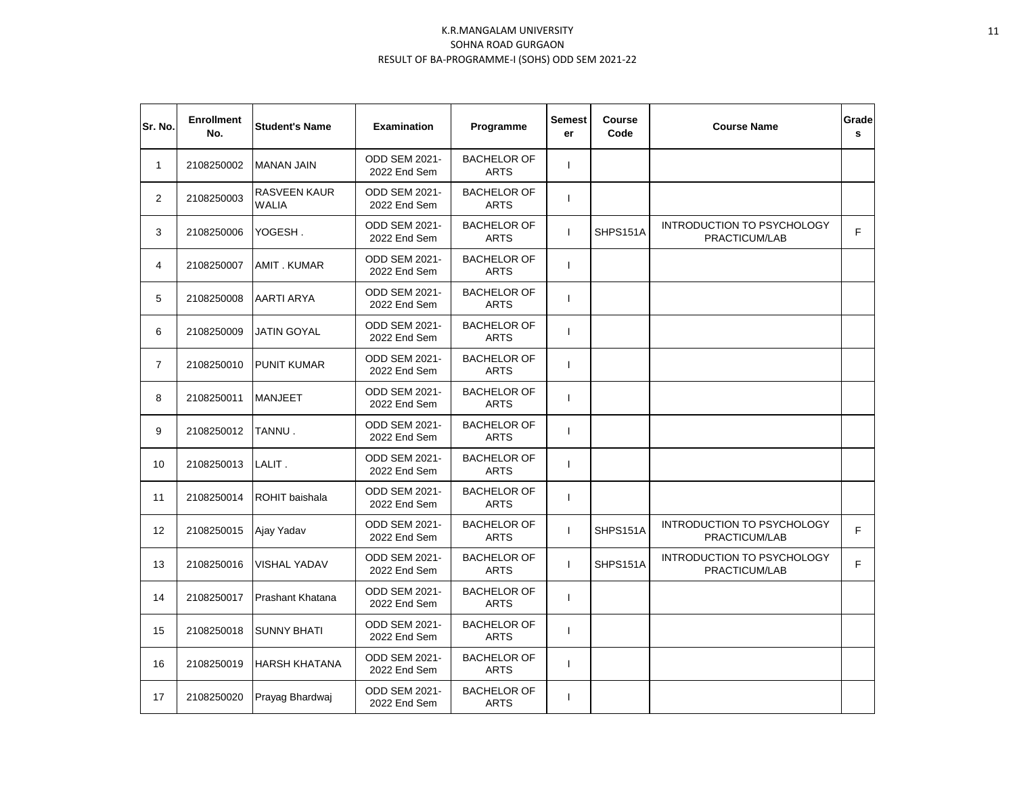| Sr. No.        | <b>Enrollment</b><br>No. | <b>Student's Name</b>        | <b>Examination</b>                   | Programme                         | <b>Semest</b><br>er | Course<br>Code | <b>Course Name</b>                                 | Grade<br>s |
|----------------|--------------------------|------------------------------|--------------------------------------|-----------------------------------|---------------------|----------------|----------------------------------------------------|------------|
| 1              | 2108250002               | <b>MANAN JAIN</b>            | ODD SEM 2021-<br>2022 End Sem        | <b>BACHELOR OF</b><br><b>ARTS</b> | $\mathbf{I}$        |                |                                                    |            |
| 2              | 2108250003               | RASVEEN KAUR<br><b>WALIA</b> | ODD SEM 2021-<br>2022 End Sem        | <b>BACHELOR OF</b><br><b>ARTS</b> | $\mathbf{I}$        |                |                                                    |            |
| 3              | 2108250006               | YOGESH.                      | ODD SEM 2021-<br>2022 End Sem        | <b>BACHELOR OF</b><br><b>ARTS</b> | $\mathbf{I}$        | SHPS151A       | INTRODUCTION TO PSYCHOLOGY<br>PRACTICUM/LAB        | F          |
| 4              | 2108250007               | <b>AMIT. KUMAR</b>           | <b>ODD SEM 2021-</b><br>2022 End Sem | <b>BACHELOR OF</b><br><b>ARTS</b> | $\mathbf{I}$        |                |                                                    |            |
| 5              | 2108250008               | AARTI ARYA                   | <b>ODD SEM 2021-</b><br>2022 End Sem | <b>BACHELOR OF</b><br><b>ARTS</b> | $\mathbf{I}$        |                |                                                    |            |
| 6              | 2108250009               | <b>JATIN GOYAL</b>           | <b>ODD SEM 2021-</b><br>2022 End Sem | <b>BACHELOR OF</b><br><b>ARTS</b> | $\mathbf{I}$        |                |                                                    |            |
| $\overline{7}$ | 2108250010               | <b>PUNIT KUMAR</b>           | <b>ODD SEM 2021-</b><br>2022 End Sem | <b>BACHELOR OF</b><br><b>ARTS</b> | $\mathbf{I}$        |                |                                                    |            |
| 8              | 2108250011               | <b>MANJEET</b>               | <b>ODD SEM 2021-</b><br>2022 End Sem | <b>BACHELOR OF</b><br><b>ARTS</b> | $\mathbf{I}$        |                |                                                    |            |
| 9              | 2108250012               | TANNU.                       | <b>ODD SEM 2021-</b><br>2022 End Sem | <b>BACHELOR OF</b><br><b>ARTS</b> | $\mathbf{I}$        |                |                                                    |            |
| 10             | 2108250013               | LALIT.                       | <b>ODD SEM 2021-</b><br>2022 End Sem | <b>BACHELOR OF</b><br><b>ARTS</b> | $\mathbf{I}$        |                |                                                    |            |
| 11             | 2108250014               | <b>ROHIT</b> baishala        | <b>ODD SEM 2021-</b><br>2022 End Sem | <b>BACHELOR OF</b><br><b>ARTS</b> | $\mathbf{I}$        |                |                                                    |            |
| 12             | 2108250015               | Ajay Yadav                   | <b>ODD SEM 2021-</b><br>2022 End Sem | <b>BACHELOR OF</b><br><b>ARTS</b> | $\mathbf{I}$        | SHPS151A       | INTRODUCTION TO PSYCHOLOGY<br>PRACTICUM/LAB        | F          |
| 13             | 2108250016               | <b>VISHAL YADAV</b>          | <b>ODD SEM 2021-</b><br>2022 End Sem | <b>BACHELOR OF</b><br><b>ARTS</b> | T                   | SHPS151A       | <b>INTRODUCTION TO PSYCHOLOGY</b><br>PRACTICUM/LAB | F          |
| 14             | 2108250017               | Prashant Khatana             | <b>ODD SEM 2021-</b><br>2022 End Sem | <b>BACHELOR OF</b><br><b>ARTS</b> | $\mathbf{I}$        |                |                                                    |            |
| 15             | 2108250018               | <b>SUNNY BHATI</b>           | <b>ODD SEM 2021-</b><br>2022 End Sem | <b>BACHELOR OF</b><br><b>ARTS</b> | $\mathbf{I}$        |                |                                                    |            |
| 16             | 2108250019               | <b>HARSH KHATANA</b>         | <b>ODD SEM 2021-</b><br>2022 End Sem | <b>BACHELOR OF</b><br><b>ARTS</b> | $\mathbf{I}$        |                |                                                    |            |
| 17             | 2108250020               | Prayag Bhardwaj              | <b>ODD SEM 2021-</b><br>2022 End Sem | <b>BACHELOR OF</b><br><b>ARTS</b> | $\mathbf{I}$        |                |                                                    |            |